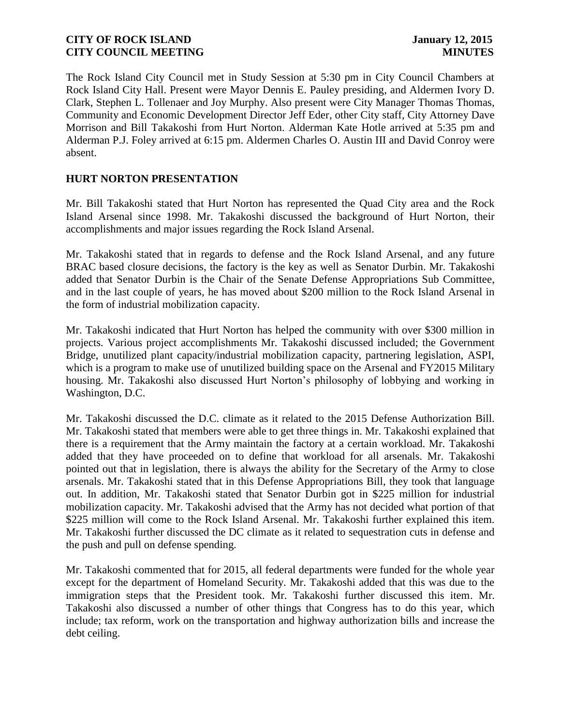The Rock Island City Council met in Study Session at 5:30 pm in City Council Chambers at Rock Island City Hall. Present were Mayor Dennis E. Pauley presiding, and Aldermen Ivory D. Clark, Stephen L. Tollenaer and Joy Murphy. Also present were City Manager Thomas Thomas, Community and Economic Development Director Jeff Eder, other City staff, City Attorney Dave Morrison and Bill Takakoshi from Hurt Norton. Alderman Kate Hotle arrived at 5:35 pm and Alderman P.J. Foley arrived at 6:15 pm. Aldermen Charles O. Austin III and David Conroy were absent.

# **HURT NORTON PRESENTATION**

Mr. Bill Takakoshi stated that Hurt Norton has represented the Quad City area and the Rock Island Arsenal since 1998. Mr. Takakoshi discussed the background of Hurt Norton, their accomplishments and major issues regarding the Rock Island Arsenal.

Mr. Takakoshi stated that in regards to defense and the Rock Island Arsenal, and any future BRAC based closure decisions, the factory is the key as well as Senator Durbin. Mr. Takakoshi added that Senator Durbin is the Chair of the Senate Defense Appropriations Sub Committee, and in the last couple of years, he has moved about \$200 million to the Rock Island Arsenal in the form of industrial mobilization capacity.

Mr. Takakoshi indicated that Hurt Norton has helped the community with over \$300 million in projects. Various project accomplishments Mr. Takakoshi discussed included; the Government Bridge, unutilized plant capacity/industrial mobilization capacity, partnering legislation, ASPI, which is a program to make use of unutilized building space on the Arsenal and FY2015 Military housing. Mr. Takakoshi also discussed Hurt Norton's philosophy of lobbying and working in Washington, D.C.

Mr. Takakoshi discussed the D.C. climate as it related to the 2015 Defense Authorization Bill. Mr. Takakoshi stated that members were able to get three things in. Mr. Takakoshi explained that there is a requirement that the Army maintain the factory at a certain workload. Mr. Takakoshi added that they have proceeded on to define that workload for all arsenals. Mr. Takakoshi pointed out that in legislation, there is always the ability for the Secretary of the Army to close arsenals. Mr. Takakoshi stated that in this Defense Appropriations Bill, they took that language out. In addition, Mr. Takakoshi stated that Senator Durbin got in \$225 million for industrial mobilization capacity. Mr. Takakoshi advised that the Army has not decided what portion of that \$225 million will come to the Rock Island Arsenal. Mr. Takakoshi further explained this item. Mr. Takakoshi further discussed the DC climate as it related to sequestration cuts in defense and the push and pull on defense spending.

Mr. Takakoshi commented that for 2015, all federal departments were funded for the whole year except for the department of Homeland Security. Mr. Takakoshi added that this was due to the immigration steps that the President took. Mr. Takakoshi further discussed this item. Mr. Takakoshi also discussed a number of other things that Congress has to do this year, which include; tax reform, work on the transportation and highway authorization bills and increase the debt ceiling.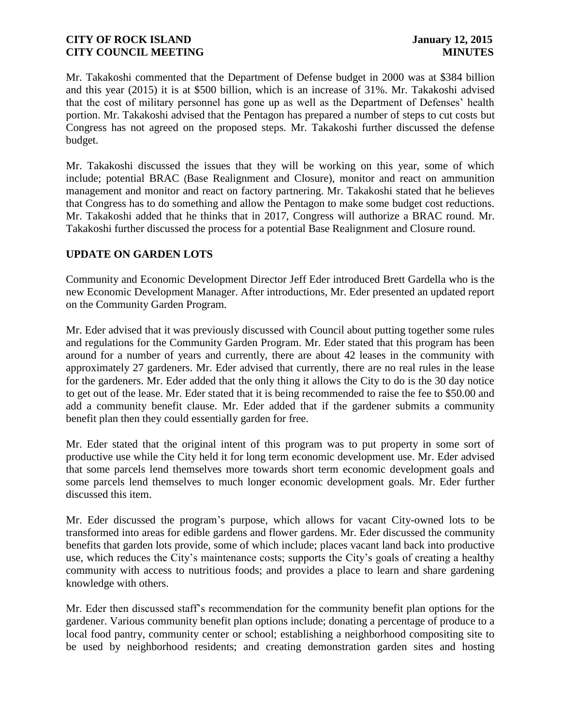Mr. Takakoshi commented that the Department of Defense budget in 2000 was at \$384 billion and this year (2015) it is at \$500 billion, which is an increase of 31%. Mr. Takakoshi advised that the cost of military personnel has gone up as well as the Department of Defenses' health portion. Mr. Takakoshi advised that the Pentagon has prepared a number of steps to cut costs but Congress has not agreed on the proposed steps. Mr. Takakoshi further discussed the defense budget.

Mr. Takakoshi discussed the issues that they will be working on this year, some of which include; potential BRAC (Base Realignment and Closure), monitor and react on ammunition management and monitor and react on factory partnering. Mr. Takakoshi stated that he believes that Congress has to do something and allow the Pentagon to make some budget cost reductions. Mr. Takakoshi added that he thinks that in 2017, Congress will authorize a BRAC round. Mr. Takakoshi further discussed the process for a potential Base Realignment and Closure round.

# **UPDATE ON GARDEN LOTS**

Community and Economic Development Director Jeff Eder introduced Brett Gardella who is the new Economic Development Manager. After introductions, Mr. Eder presented an updated report on the Community Garden Program.

Mr. Eder advised that it was previously discussed with Council about putting together some rules and regulations for the Community Garden Program. Mr. Eder stated that this program has been around for a number of years and currently, there are about 42 leases in the community with approximately 27 gardeners. Mr. Eder advised that currently, there are no real rules in the lease for the gardeners. Mr. Eder added that the only thing it allows the City to do is the 30 day notice to get out of the lease. Mr. Eder stated that it is being recommended to raise the fee to \$50.00 and add a community benefit clause. Mr. Eder added that if the gardener submits a community benefit plan then they could essentially garden for free.

Mr. Eder stated that the original intent of this program was to put property in some sort of productive use while the City held it for long term economic development use. Mr. Eder advised that some parcels lend themselves more towards short term economic development goals and some parcels lend themselves to much longer economic development goals. Mr. Eder further discussed this item.

Mr. Eder discussed the program's purpose, which allows for vacant City-owned lots to be transformed into areas for edible gardens and flower gardens. Mr. Eder discussed the community benefits that garden lots provide, some of which include; places vacant land back into productive use, which reduces the City's maintenance costs; supports the City's goals of creating a healthy community with access to nutritious foods; and provides a place to learn and share gardening knowledge with others.

Mr. Eder then discussed staff's recommendation for the community benefit plan options for the gardener. Various community benefit plan options include; donating a percentage of produce to a local food pantry, community center or school; establishing a neighborhood compositing site to be used by neighborhood residents; and creating demonstration garden sites and hosting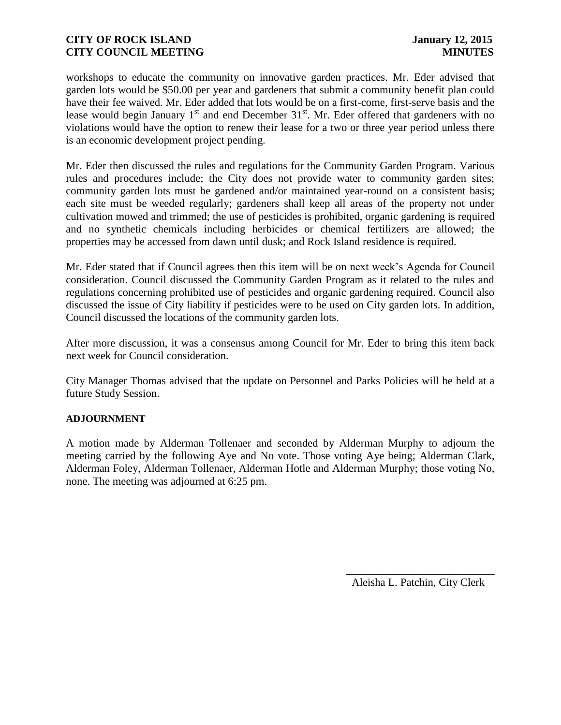workshops to educate the community on innovative garden practices. Mr. Eder advised that garden lots would be \$50.00 per year and gardeners that submit a community benefit plan could have their fee waived. Mr. Eder added that lots would be on a first-come, first-serve basis and the lease would begin January  $1<sup>st</sup>$  and end December  $31<sup>st</sup>$ . Mr. Eder offered that gardeners with no violations would have the option to renew their lease for a two or three year period unless there is an economic development project pending.

Mr. Eder then discussed the rules and regulations for the Community Garden Program. Various rules and procedures include; the City does not provide water to community garden sites; community garden lots must be gardened and/or maintained year-round on a consistent basis; each site must be weeded regularly; gardeners shall keep all areas of the property not under cultivation mowed and trimmed; the use of pesticides is prohibited, organic gardening is required and no synthetic chemicals including herbicides or chemical fertilizers are allowed; the properties may be accessed from dawn until dusk; and Rock Island residence is required.

Mr. Eder stated that if Council agrees then this item will be on next week's Agenda for Council consideration. Council discussed the Community Garden Program as it related to the rules and regulations concerning prohibited use of pesticides and organic gardening required. Council also discussed the issue of City liability if pesticides were to be used on City garden lots. In addition, Council discussed the locations of the community garden lots.

After more discussion, it was a consensus among Council for Mr. Eder to bring this item back next week for Council consideration.

City Manager Thomas advised that the update on Personnel and Parks Policies will be held at a future Study Session.

#### **ADJOURNMENT**

A motion made by Alderman Tollenaer and seconded by Alderman Murphy to adjourn the meeting carried by the following Aye and No vote. Those voting Aye being; Alderman Clark, Alderman Foley, Alderman Tollenaer, Alderman Hotle and Alderman Murphy; those voting No, none. The meeting was adjourned at 6:25 pm.

Aleisha L. Patchin, City Clerk

 $\frac{1}{2}$  ,  $\frac{1}{2}$  ,  $\frac{1}{2}$  ,  $\frac{1}{2}$  ,  $\frac{1}{2}$  ,  $\frac{1}{2}$  ,  $\frac{1}{2}$  ,  $\frac{1}{2}$  ,  $\frac{1}{2}$  ,  $\frac{1}{2}$  ,  $\frac{1}{2}$  ,  $\frac{1}{2}$  ,  $\frac{1}{2}$  ,  $\frac{1}{2}$  ,  $\frac{1}{2}$  ,  $\frac{1}{2}$  ,  $\frac{1}{2}$  ,  $\frac{1}{2}$  ,  $\frac{1$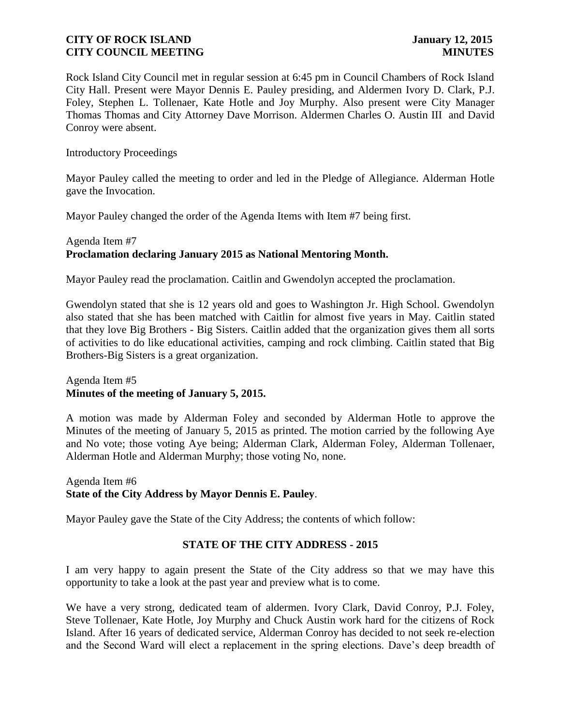Rock Island City Council met in regular session at 6:45 pm in Council Chambers of Rock Island City Hall. Present were Mayor Dennis E. Pauley presiding, and Aldermen Ivory D. Clark, P.J. Foley, Stephen L. Tollenaer, Kate Hotle and Joy Murphy. Also present were City Manager Thomas Thomas and City Attorney Dave Morrison. Aldermen Charles O. Austin III and David Conroy were absent.

Introductory Proceedings

Mayor Pauley called the meeting to order and led in the Pledge of Allegiance. Alderman Hotle gave the Invocation.

Mayor Pauley changed the order of the Agenda Items with Item #7 being first.

## Agenda Item #7 **Proclamation declaring January 2015 as National Mentoring Month.**

Mayor Pauley read the proclamation. Caitlin and Gwendolyn accepted the proclamation.

Gwendolyn stated that she is 12 years old and goes to Washington Jr. High School. Gwendolyn also stated that she has been matched with Caitlin for almost five years in May. Caitlin stated that they love Big Brothers - Big Sisters. Caitlin added that the organization gives them all sorts of activities to do like educational activities, camping and rock climbing. Caitlin stated that Big Brothers-Big Sisters is a great organization.

#### Agenda Item #5 **Minutes of the meeting of January 5, 2015.**

A motion was made by Alderman Foley and seconded by Alderman Hotle to approve the Minutes of the meeting of January 5, 2015 as printed. The motion carried by the following Aye and No vote; those voting Aye being; Alderman Clark, Alderman Foley, Alderman Tollenaer, Alderman Hotle and Alderman Murphy; those voting No, none.

Agenda Item #6 **State of the City Address by Mayor Dennis E. Pauley**.

Mayor Pauley gave the State of the City Address; the contents of which follow:

# **STATE OF THE CITY ADDRESS - 2015**

I am very happy to again present the State of the City address so that we may have this opportunity to take a look at the past year and preview what is to come.

We have a very strong, dedicated team of aldermen. Ivory Clark, David Conroy, P.J. Foley, Steve Tollenaer, Kate Hotle, Joy Murphy and Chuck Austin work hard for the citizens of Rock Island. After 16 years of dedicated service, Alderman Conroy has decided to not seek re-election and the Second Ward will elect a replacement in the spring elections. Dave's deep breadth of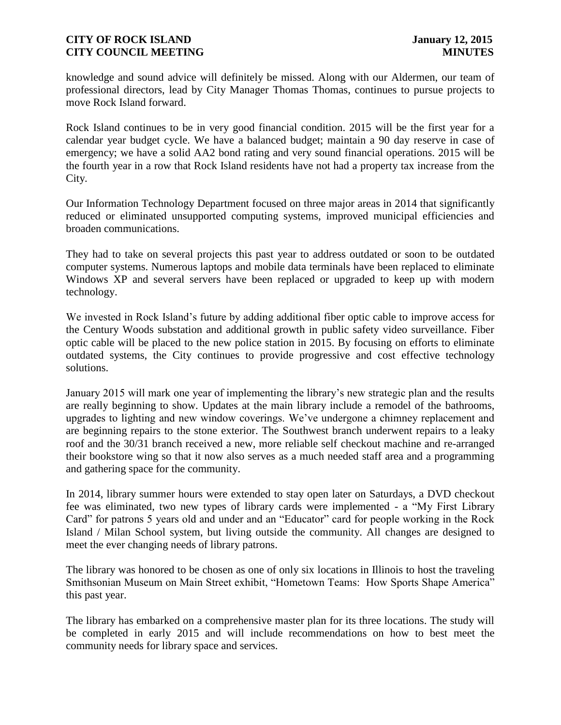knowledge and sound advice will definitely be missed. Along with our Aldermen, our team of professional directors, lead by City Manager Thomas Thomas, continues to pursue projects to move Rock Island forward.

Rock Island continues to be in very good financial condition. 2015 will be the first year for a calendar year budget cycle. We have a balanced budget; maintain a 90 day reserve in case of emergency; we have a solid AA2 bond rating and very sound financial operations. 2015 will be the fourth year in a row that Rock Island residents have not had a property tax increase from the City.

Our Information Technology Department focused on three major areas in 2014 that significantly reduced or eliminated unsupported computing systems, improved municipal efficiencies and broaden communications.

They had to take on several projects this past year to address outdated or soon to be outdated computer systems. Numerous laptops and mobile data terminals have been replaced to eliminate Windows XP and several servers have been replaced or upgraded to keep up with modern technology.

We invested in Rock Island's future by adding additional fiber optic cable to improve access for the Century Woods substation and additional growth in public safety video surveillance. Fiber optic cable will be placed to the new police station in 2015. By focusing on efforts to eliminate outdated systems, the City continues to provide progressive and cost effective technology solutions.

January 2015 will mark one year of implementing the library's new strategic plan and the results are really beginning to show. Updates at the main library include a remodel of the bathrooms, upgrades to lighting and new window coverings. We've undergone a chimney replacement and are beginning repairs to the stone exterior. The Southwest branch underwent repairs to a leaky roof and the 30/31 branch received a new, more reliable self checkout machine and re-arranged their bookstore wing so that it now also serves as a much needed staff area and a programming and gathering space for the community.

In 2014, library summer hours were extended to stay open later on Saturdays, a DVD checkout fee was eliminated, two new types of library cards were implemented - a "My First Library Card" for patrons 5 years old and under and an "Educator" card for people working in the Rock Island / Milan School system, but living outside the community. All changes are designed to meet the ever changing needs of library patrons.

The library was honored to be chosen as one of only six locations in Illinois to host the traveling Smithsonian Museum on Main Street exhibit, "Hometown Teams: How Sports Shape America" this past year.

The library has embarked on a comprehensive master plan for its three locations. The study will be completed in early 2015 and will include recommendations on how to best meet the community needs for library space and services.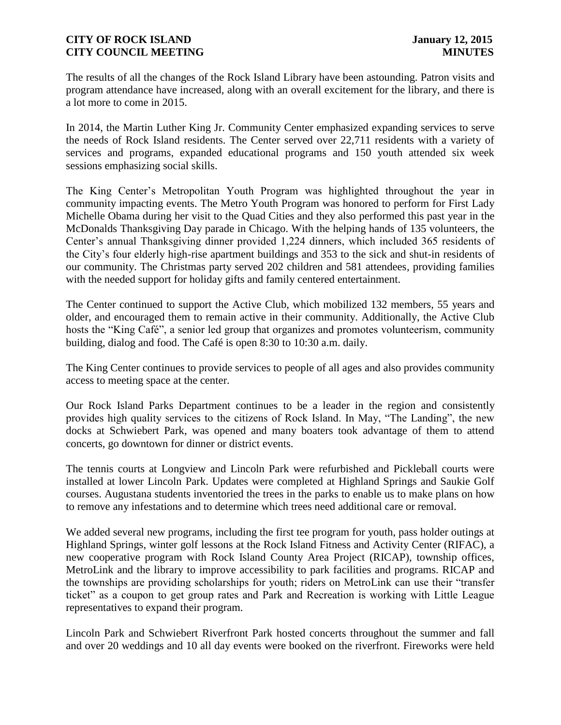The results of all the changes of the Rock Island Library have been astounding. Patron visits and program attendance have increased, along with an overall excitement for the library, and there is a lot more to come in 2015.

In 2014, the Martin Luther King Jr. Community Center emphasized expanding services to serve the needs of Rock Island residents. The Center served over 22,711 residents with a variety of services and programs, expanded educational programs and 150 youth attended six week sessions emphasizing social skills.

The King Center's Metropolitan Youth Program was highlighted throughout the year in community impacting events. The Metro Youth Program was honored to perform for First Lady Michelle Obama during her visit to the Quad Cities and they also performed this past year in the McDonalds Thanksgiving Day parade in Chicago. With the helping hands of 135 volunteers, the Center's annual Thanksgiving dinner provided 1,224 dinners, which included 365 residents of the City's four elderly high-rise apartment buildings and 353 to the sick and shut-in residents of our community. The Christmas party served 202 children and 581 attendees*,* providing families with the needed support for holiday gifts and family centered entertainment.

The Center continued to support the Active Club, which mobilized 132 members, 55 years and older, and encouraged them to remain active in their community. Additionally, the Active Club hosts the "King Café", a senior led group that organizes and promotes volunteerism, community building, dialog and food. The Café is open 8:30 to 10:30 a.m. daily.

The King Center continues to provide services to people of all ages and also provides community access to meeting space at the center.

Our Rock Island Parks Department continues to be a leader in the region and consistently provides high quality services to the citizens of Rock Island. In May, "The Landing", the new docks at Schwiebert Park, was opened and many boaters took advantage of them to attend concerts, go downtown for dinner or district events.

The tennis courts at Longview and Lincoln Park were refurbished and Pickleball courts were installed at lower Lincoln Park. Updates were completed at Highland Springs and Saukie Golf courses. Augustana students inventoried the trees in the parks to enable us to make plans on how to remove any infestations and to determine which trees need additional care or removal.

We added several new programs, including the first tee program for youth, pass holder outings at Highland Springs, winter golf lessons at the Rock Island Fitness and Activity Center (RIFAC), a new cooperative program with Rock Island County Area Project (RICAP), township offices, MetroLink and the library to improve accessibility to park facilities and programs. RICAP and the townships are providing scholarships for youth; riders on MetroLink can use their "transfer ticket" as a coupon to get group rates and Park and Recreation is working with Little League representatives to expand their program.

Lincoln Park and Schwiebert Riverfront Park hosted concerts throughout the summer and fall and over 20 weddings and 10 all day events were booked on the riverfront. Fireworks were held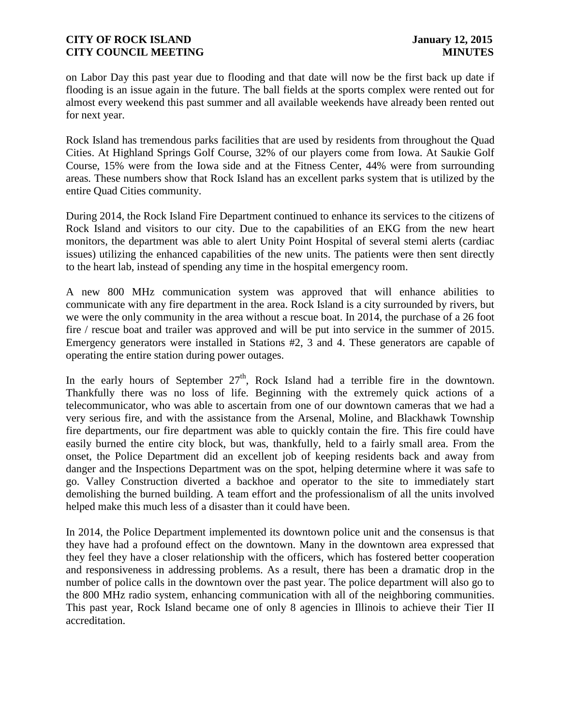on Labor Day this past year due to flooding and that date will now be the first back up date if flooding is an issue again in the future. The ball fields at the sports complex were rented out for almost every weekend this past summer and all available weekends have already been rented out for next year.

Rock Island has tremendous parks facilities that are used by residents from throughout the Quad Cities. At Highland Springs Golf Course, 32% of our players come from Iowa. At Saukie Golf Course, 15% were from the Iowa side and at the Fitness Center, 44% were from surrounding areas*.* These numbers show that Rock Island has an excellent parks system that is utilized by the entire Quad Cities community.

During 2014, the Rock Island Fire Department continued to enhance its services to the citizens of Rock Island and visitors to our city. Due to the capabilities of an EKG from the new heart monitors, the department was able to alert Unity Point Hospital of several stemi alerts (cardiac issues) utilizing the enhanced capabilities of the new units. The patients were then sent directly to the heart lab, instead of spending any time in the hospital emergency room.

A new 800 MHz communication system was approved that will enhance abilities to communicate with any fire department in the area. Rock Island is a city surrounded by rivers, but we were the only community in the area without a rescue boat. In 2014, the purchase of a 26 foot fire / rescue boat and trailer was approved and will be put into service in the summer of 2015. Emergency generators were installed in Stations #2, 3 and 4. These generators are capable of operating the entire station during power outages.

In the early hours of September  $27<sup>th</sup>$ , Rock Island had a terrible fire in the downtown. Thankfully there was no loss of life. Beginning with the extremely quick actions of a telecommunicator, who was able to ascertain from one of our downtown cameras that we had a very serious fire, and with the assistance from the Arsenal, Moline, and Blackhawk Township fire departments, our fire department was able to quickly contain the fire. This fire could have easily burned the entire city block, but was, thankfully, held to a fairly small area. From the onset, the Police Department did an excellent job of keeping residents back and away from danger and the Inspections Department was on the spot, helping determine where it was safe to go. Valley Construction diverted a backhoe and operator to the site to immediately start demolishing the burned building. A team effort and the professionalism of all the units involved helped make this much less of a disaster than it could have been.

In 2014, the Police Department implemented its downtown police unit and the consensus is that they have had a profound effect on the downtown. Many in the downtown area expressed that they feel they have a closer relationship with the officers, which has fostered better cooperation and responsiveness in addressing problems. As a result, there has been a dramatic drop in the number of police calls in the downtown over the past year. The police department will also go to the 800 MHz radio system, enhancing communication with all of the neighboring communities. This past year, Rock Island became one of only 8 agencies in Illinois to achieve their Tier II accreditation.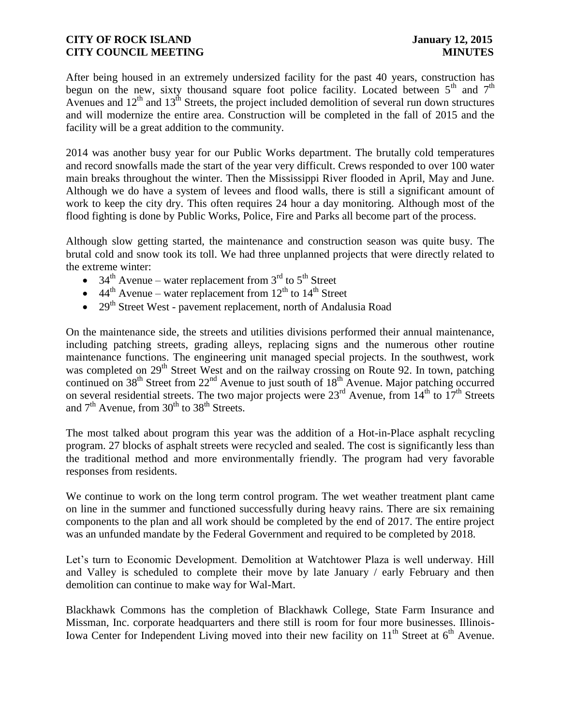After being housed in an extremely undersized facility for the past 40 years, construction has begun on the new, sixty thousand square foot police facility. Located between  $5<sup>th</sup>$  and  $7<sup>th</sup>$ Avenues and  $12<sup>th</sup>$  and  $13<sup>th</sup>$  Streets, the project included demolition of several run down structures and will modernize the entire area. Construction will be completed in the fall of 2015 and the facility will be a great addition to the community.

2014 was another busy year for our Public Works department. The brutally cold temperatures and record snowfalls made the start of the year very difficult. Crews responded to over 100 water main breaks throughout the winter. Then the Mississippi River flooded in April, May and June. Although we do have a system of levees and flood walls, there is still a significant amount of work to keep the city dry. This often requires 24 hour a day monitoring. Although most of the flood fighting is done by Public Works, Police, Fire and Parks all become part of the process.

Although slow getting started, the maintenance and construction season was quite busy. The brutal cold and snow took its toll. We had three unplanned projects that were directly related to the extreme winter:

- $34<sup>th</sup>$  Avenue water replacement from  $3<sup>rd</sup>$  to  $5<sup>th</sup>$  Street
- $\bullet$  44<sup>th</sup> Avenue water replacement from 12<sup>th</sup> to 14<sup>th</sup> Street
- 29<sup>th</sup> Street West pavement replacement, north of Andalusia Road

On the maintenance side, the streets and utilities divisions performed their annual maintenance, including patching streets, grading alleys, replacing signs and the numerous other routine maintenance functions. The engineering unit managed special projects. In the southwest, work was completed on 29<sup>th</sup> Street West and on the railway crossing on Route 92. In town, patching continued on 38<sup>th</sup> Street from 22<sup>nd</sup> Avenue to just south of 18<sup>th</sup> Avenue. Major patching occurred on several residential streets. The two major projects were  $23^{\text{rd}}$  Avenue, from  $14^{\text{th}}$  to  $17^{\text{th}}$  Streets and  $7<sup>th</sup>$  Avenue, from  $30<sup>th</sup>$  to  $38<sup>th</sup>$  Streets.

The most talked about program this year was the addition of a Hot-in-Place asphalt recycling program. 27 blocks of asphalt streets were recycled and sealed. The cost is significantly less than the traditional method and more environmentally friendly. The program had very favorable responses from residents.

We continue to work on the long term control program. The wet weather treatment plant came on line in the summer and functioned successfully during heavy rains. There are six remaining components to the plan and all work should be completed by the end of 2017. The entire project was an unfunded mandate by the Federal Government and required to be completed by 2018.

Let's turn to Economic Development. Demolition at Watchtower Plaza is well underway. Hill and Valley is scheduled to complete their move by late January / early February and then demolition can continue to make way for Wal-Mart.

Blackhawk Commons has the completion of Blackhawk College, State Farm Insurance and Missman, Inc. corporate headquarters and there still is room for four more businesses. Illinois-Iowa Center for Independent Living moved into their new facility on  $11<sup>th</sup>$  Street at  $6<sup>th</sup>$  Avenue.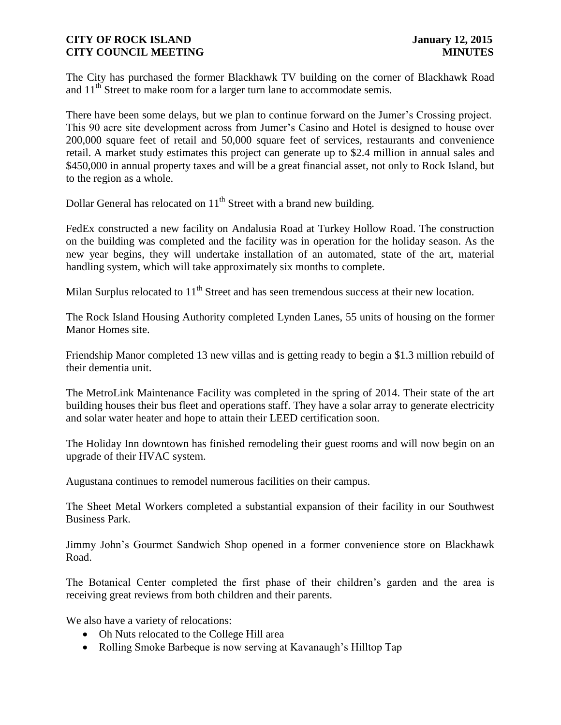The City has purchased the former Blackhawk TV building on the corner of Blackhawk Road and  $11<sup>th</sup>$  Street to make room for a larger turn lane to accommodate semis.

There have been some delays, but we plan to continue forward on the Jumer's Crossing project. This 90 acre site development across from Jumer's Casino and Hotel is designed to house over 200,000 square feet of retail and 50,000 square feet of services, restaurants and convenience retail. A market study estimates this project can generate up to \$2.4 million in annual sales and \$450,000 in annual property taxes and will be a great financial asset, not only to Rock Island, but to the region as a whole.

Dollar General has relocated on  $11<sup>th</sup>$  Street with a brand new building.

FedEx constructed a new facility on Andalusia Road at Turkey Hollow Road. The construction on the building was completed and the facility was in operation for the holiday season. As the new year begins, they will undertake installation of an automated, state of the art, material handling system, which will take approximately six months to complete.

Milan Surplus relocated to 11<sup>th</sup> Street and has seen tremendous success at their new location.

The Rock Island Housing Authority completed Lynden Lanes, 55 units of housing on the former Manor Homes site.

Friendship Manor completed 13 new villas and is getting ready to begin a \$1.3 million rebuild of their dementia unit.

The MetroLink Maintenance Facility was completed in the spring of 2014. Their state of the art building houses their bus fleet and operations staff. They have a solar array to generate electricity and solar water heater and hope to attain their LEED certification soon.

The Holiday Inn downtown has finished remodeling their guest rooms and will now begin on an upgrade of their HVAC system.

Augustana continues to remodel numerous facilities on their campus.

The Sheet Metal Workers completed a substantial expansion of their facility in our Southwest Business Park.

Jimmy John's Gourmet Sandwich Shop opened in a former convenience store on Blackhawk Road.

The Botanical Center completed the first phase of their children's garden and the area is receiving great reviews from both children and their parents.

We also have a variety of relocations:

- Oh Nuts relocated to the College Hill area
- Rolling Smoke Barbeque is now serving at Kavanaugh's Hilltop Tap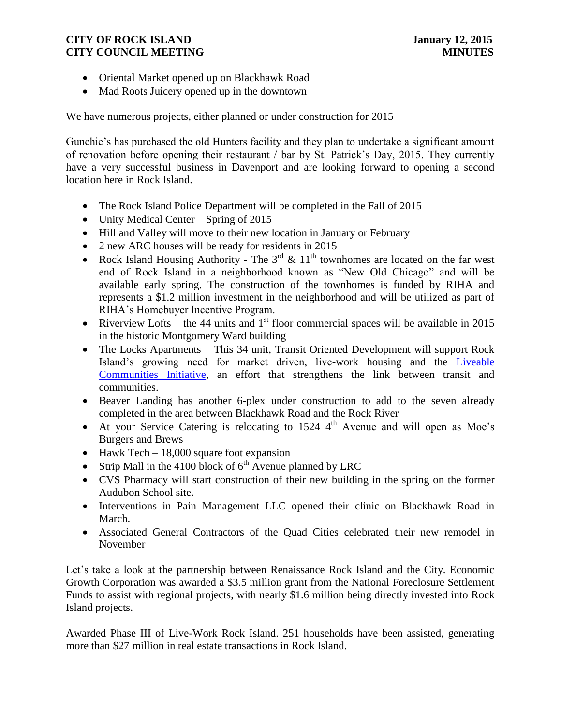- Oriental Market opened up on Blackhawk Road
- Mad Roots Juicery opened up in the downtown

We have numerous projects, either planned or under construction for 2015 –

Gunchie's has purchased the old Hunters facility and they plan to undertake a significant amount of renovation before opening their restaurant / bar by St. Patrick's Day, 2015. They currently have a very successful business in Davenport and are looking forward to opening a second location here in Rock Island.

- The Rock Island Police Department will be completed in the Fall of 2015
- Unity Medical Center Spring of 2015
- Hill and Valley will move to their new location in January or February
- 2 new ARC houses will be ready for residents in 2015
- Rock Island Housing Authority The  $3<sup>rd</sup>$  &  $11<sup>th</sup>$  townhomes are located on the far west end of Rock Island in a neighborhood known as "New Old Chicago" and will be available early spring. The construction of the townhomes is funded by RIHA and represents a \$1.2 million investment in the neighborhood and will be utilized as part of RIHA's Homebuyer Incentive Program.
- Riverview Lofts the 44 units and  $1<sup>st</sup>$  floor commercial spaces will be available in 2015 in the historic Montgomery Ward building
- The Locks Apartments This 34 unit, Transit Oriented Development will support Rock Island's growing need for market driven, live-work housing and the [Liveable](http://ntl.bts.gov/DOCS/livbro.html)  [Communities Initiative,](http://ntl.bts.gov/DOCS/livbro.html) an effort that strengthens the link between transit and communities.
- Beaver Landing has another 6-plex under construction to add to the seven already completed in the area between Blackhawk Road and the Rock River
- At your Service Catering is relocating to  $1524 \, 4^{th}$  Avenue and will open as Moe's Burgers and Brews
- $\bullet$  Hawk Tech 18,000 square foot expansion
- Strip Mall in the 4100 block of  $6<sup>th</sup>$  Avenue planned by LRC
- CVS Pharmacy will start construction of their new building in the spring on the former Audubon School site.
- Interventions in Pain Management LLC opened their clinic on Blackhawk Road in March.
- Associated General Contractors of the Quad Cities celebrated their new remodel in November

Let's take a look at the partnership between Renaissance Rock Island and the City. Economic Growth Corporation was awarded a \$3.5 million grant from the National Foreclosure Settlement Funds to assist with regional projects, with nearly \$1.6 million being directly invested into Rock Island projects.

Awarded Phase III of Live-Work Rock Island. 251 households have been assisted, generating more than \$27 million in real estate transactions in Rock Island.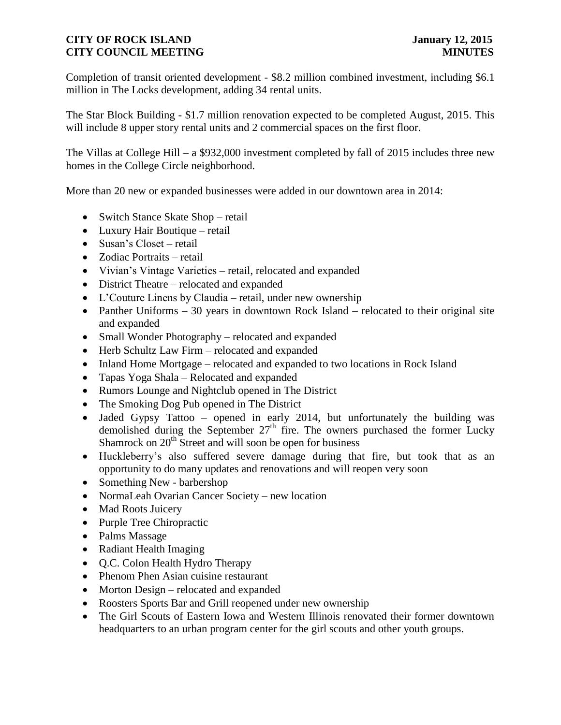Completion of transit oriented development - \$8.2 million combined investment, including \$6.1 million in The Locks development, adding 34 rental units.

The Star Block Building - \$1.7 million renovation expected to be completed August, 2015. This will include 8 upper story rental units and 2 commercial spaces on the first floor.

The Villas at College Hill – a \$932,000 investment completed by fall of 2015 includes three new homes in the College Circle neighborhood.

More than 20 new or expanded businesses were added in our downtown area in 2014:

- Switch Stance Skate Shop retail
- Luxury Hair Boutique retail
- Susan's Closet retail
- Zodiac Portraits retail
- Vivian's Vintage Varieties retail, relocated and expanded
- District Theatre relocated and expanded
- L'Couture Linens by Claudia retail, under new ownership
- Panther Uniforms  $-30$  years in downtown Rock Island relocated to their original site and expanded
- Small Wonder Photography relocated and expanded
- Herb Schultz Law Firm relocated and expanded
- Inland Home Mortgage relocated and expanded to two locations in Rock Island
- Tapas Yoga Shala Relocated and expanded
- Rumors Lounge and Nightclub opened in The District
- The Smoking Dog Pub opened in The District
- Jaded Gypsy Tattoo opened in early 2014, but unfortunately the building was demolished during the September  $27<sup>th</sup>$  fire. The owners purchased the former Lucky Shamrock on  $20<sup>th</sup>$  Street and will soon be open for business
- Huckleberry's also suffered severe damage during that fire, but took that as an opportunity to do many updates and renovations and will reopen very soon
- Something New barbershop
- NormaLeah Ovarian Cancer Society new location
- Mad Roots Juicery
- Purple Tree Chiropractic
- Palms Massage
- Radiant Health Imaging
- Q.C. Colon Health Hydro Therapy
- Phenom Phen Asian cuisine restaurant
- Morton Design relocated and expanded
- Roosters Sports Bar and Grill reopened under new ownership
- The Girl Scouts of Eastern Iowa and Western Illinois renovated their former downtown headquarters to an urban program center for the girl scouts and other youth groups.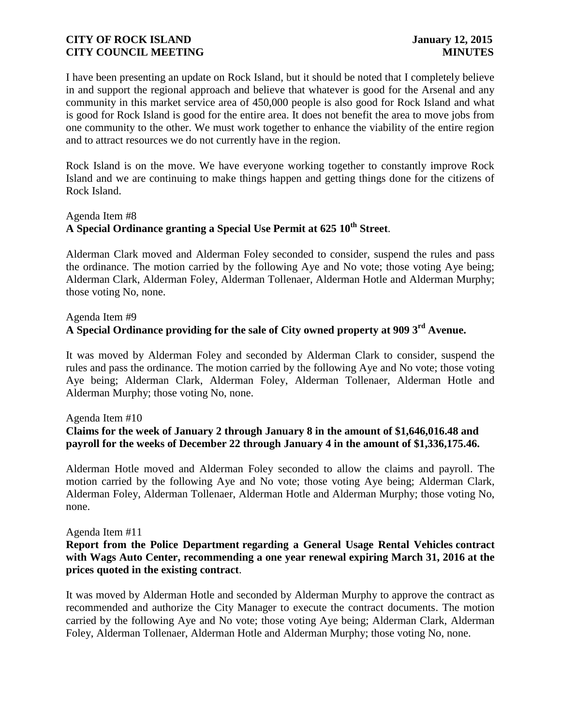I have been presenting an update on Rock Island, but it should be noted that I completely believe in and support the regional approach and believe that whatever is good for the Arsenal and any community in this market service area of 450,000 people is also good for Rock Island and what is good for Rock Island is good for the entire area. It does not benefit the area to move jobs from one community to the other. We must work together to enhance the viability of the entire region and to attract resources we do not currently have in the region.

Rock Island is on the move. We have everyone working together to constantly improve Rock Island and we are continuing to make things happen and getting things done for the citizens of Rock Island.

# Agenda Item #8 **A Special Ordinance granting a Special Use Permit at 625 10th Street**.

Alderman Clark moved and Alderman Foley seconded to consider, suspend the rules and pass the ordinance. The motion carried by the following Aye and No vote; those voting Aye being; Alderman Clark, Alderman Foley, Alderman Tollenaer, Alderman Hotle and Alderman Murphy; those voting No, none.

# Agenda Item #9

# **A Special Ordinance providing for the sale of City owned property at 909 3rd Avenue.**

It was moved by Alderman Foley and seconded by Alderman Clark to consider, suspend the rules and pass the ordinance. The motion carried by the following Aye and No vote; those voting Aye being; Alderman Clark, Alderman Foley, Alderman Tollenaer, Alderman Hotle and Alderman Murphy; those voting No, none.

#### Agenda Item #10

# **Claims for the week of January 2 through January 8 in the amount of \$1,646,016.48 and payroll for the weeks of December 22 through January 4 in the amount of \$1,336,175.46.**

Alderman Hotle moved and Alderman Foley seconded to allow the claims and payroll. The motion carried by the following Aye and No vote; those voting Aye being; Alderman Clark, Alderman Foley, Alderman Tollenaer, Alderman Hotle and Alderman Murphy; those voting No, none.

#### Agenda Item #11

# **Report from the Police Department regarding a General Usage Rental Vehicles contract with Wags Auto Center, recommending a one year renewal expiring March 31, 2016 at the prices quoted in the existing contract**.

It was moved by Alderman Hotle and seconded by Alderman Murphy to approve the contract as recommended and authorize the City Manager to execute the contract documents. The motion carried by the following Aye and No vote; those voting Aye being; Alderman Clark, Alderman Foley, Alderman Tollenaer, Alderman Hotle and Alderman Murphy; those voting No, none.